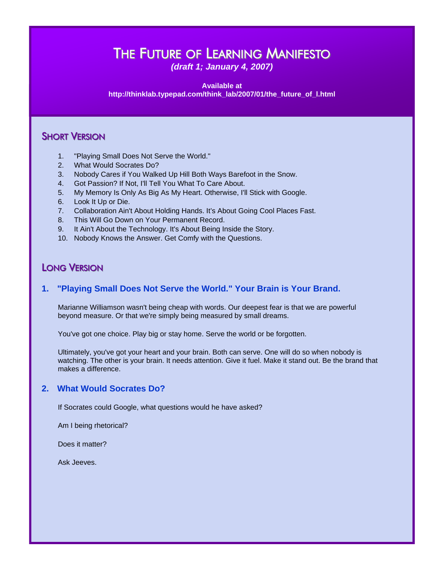# THE FUTURE OF LEARNING MANIFESTO

*(draft 1; January 4, 2007)*

**Available at http://thinklab.typepad.com/think\_lab/2007/01/the\_future\_of\_l.html** 

# **SHORT VERSION**

- 1. "Playing Small Does Not Serve the World."
- 2. What Would Socrates Do?
- 3. Nobody Cares if You Walked Up Hill Both Ways Barefoot in the Snow.
- 4. Got Passion? If Not, I'll Tell You What To Care About.
- 5. My Memory Is Only As Big As My Heart. Otherwise, I'll Stick with Google.
- 6. Look It Up or Die.
- 7. Collaboration Ain't About Holding Hands. It's About Going Cool Places Fast.
- 8. This Will Go Down on Your Permanent Record.
- 9. It Ain't About the Technology. It's About Being Inside the Story.
- 10. Nobody Knows the Answer. Get Comfy with the Questions.

# LONG VERSION

# **1. "Playing Small Does Not Serve the World." Your Brain is Your Brand.**

Marianne Williamson wasn't being cheap with words. Our deepest fear is that we are powerful beyond measure. Or that we're simply being measured by small dreams.

You've got one choice. Play big or stay home. Serve the world or be forgotten.

Ultimately, you've got your heart and your brain. Both can serve. One will do so when nobody is watching. The other is your brain. It needs attention. Give it fuel. Make it stand out. Be the brand that makes a difference.

# **2. What Would Socrates Do?**

If Socrates could Google, what questions would he have asked?

Am I being rhetorical?

Does it matter?

Ask Jeeves.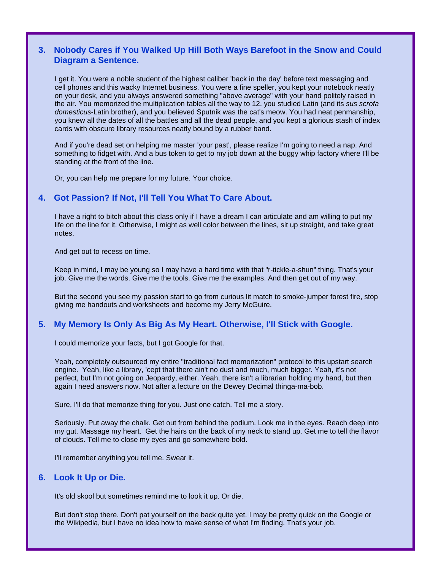## **3. Nobody Cares if You Walked Up Hill Both Ways Barefoot in the Snow and Could Diagram a Sentence.**

I get it. You were a noble student of the highest caliber 'back in the day' before text messaging and cell phones and this wacky Internet business. You were a fine speller, you kept your notebook neatly on your desk, and you always answered something "above average" with your hand politely raised in the air. You memorized the multiplication tables all the way to 12, you studied Latin (and its *sus scrofa domesticus*-Latin brother), and you believed Sputnik was the cat's meow. You had neat penmanship, you knew all the dates of all the battles and all the dead people, and you kept a glorious stash of index cards with obscure library resources neatly bound by a rubber band.

And if you're dead set on helping me master 'your past', please realize I'm going to need a nap. And something to fidget with. And a bus token to get to my job down at the buggy whip factory where I'll be standing at the front of the line.

Or, you can help me prepare for my future. Your choice.

#### **4. Got Passion? If Not, I'll Tell You What To Care About.**

I have a right to bitch about this class only if I have a dream I can articulate and am willing to put my life on the line for it. Otherwise, I might as well color between the lines, sit up straight, and take great notes.

And get out to recess on time.

Keep in mind, I may be young so I may have a hard time with that "r-tickle-a-shun" thing. That's your job. Give me the words. Give me the tools. Give me the examples. And then get out of my way.

But the second you see my passion start to go from curious lit match to smoke-jumper forest fire, stop giving me handouts and worksheets and become my Jerry McGuire.

#### **5. My Memory Is Only As Big As My Heart. Otherwise, I'll Stick with Google.**

I could memorize your facts, but I got Google for that.

Yeah, completely outsourced my entire "traditional fact memorization" protocol to this upstart search engine. Yeah, like a library, 'cept that there ain't no dust and much, much bigger. Yeah, it's not perfect, but I'm not going on Jeopardy, either. Yeah, there isn't a librarian holding my hand, but then again I need answers now. Not after a lecture on the Dewey Decimal thinga-ma-bob.

Sure, I'll do that memorize thing for you. Just one catch. Tell me a story.

Seriously. Put away the chalk. Get out from behind the podium. Look me in the eyes. Reach deep into my gut. Massage my heart. Get the hairs on the back of my neck to stand up. Get me to tell the flavor of clouds. Tell me to close my eyes and go somewhere bold.

I'll remember anything you tell me. Swear it.

#### **6. Look It Up or Die.**

It's old skool but sometimes remind me to look it up. Or die.

But don't stop there. Don't pat yourself on the back quite yet. I may be pretty quick on the Google or the Wikipedia, but I have no idea how to make sense of what I'm finding. That's your job.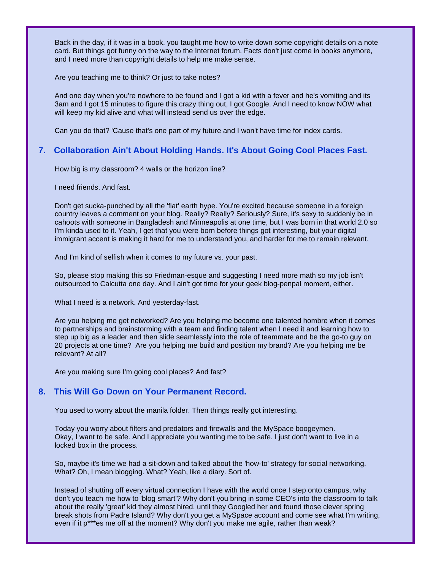Back in the day, if it was in a book, you taught me how to write down some copyright details on a note card. But things got funny on the way to the Internet forum. Facts don't just come in books anymore, and I need more than copyright details to help me make sense.

Are you teaching me to think? Or just to take notes?

And one day when you're nowhere to be found and I got a kid with a fever and he's vomiting and its 3am and I got 15 minutes to figure this crazy thing out, I got Google. And I need to know NOW what will keep my kid alive and what will instead send us over the edge.

Can you do that? 'Cause that's one part of my future and I won't have time for index cards.

### **7. Collaboration Ain't About Holding Hands. It's About Going Cool Places Fast.**

How big is my classroom? 4 walls or the horizon line?

I need friends. And fast.

Don't get sucka-punched by all the 'flat' earth hype. You're excited because someone in a foreign country leaves a comment on your blog. Really? Really? Seriously? Sure, it's sexy to suddenly be in cahoots with someone in Bangladesh and Minneapolis at one time, but I was born in that world 2.0 so I'm kinda used to it. Yeah, I get that you were born before things got interesting, but your digital immigrant accent is making it hard for me to understand you, and harder for me to remain relevant.

And I'm kind of selfish when it comes to my future vs. your past.

So, please stop making this so Friedman-esque and suggesting I need more math so my job isn't outsourced to Calcutta one day. And I ain't got time for your geek blog-penpal moment, either.

What I need is a network. And yesterday-fast.

Are you helping me get networked? Are you helping me become one talented hombre when it comes to partnerships and brainstorming with a team and finding talent when I need it and learning how to step up big as a leader and then slide seamlessly into the role of teammate and be the go-to guy on 20 projects at one time? Are you helping me build and position my brand? Are you helping me be relevant? At all?

Are you making sure I'm going cool places? And fast?

#### **8. This Will Go Down on Your Permanent Record.**

You used to worry about the manila folder. Then things really got interesting.

Today you worry about filters and predators and firewalls and the MySpace boogeymen. Okay, I want to be safe. And I appreciate you wanting me to be safe. I just don't want to live in a locked box in the process.

So, maybe it's time we had a sit-down and talked about the 'how-to' strategy for social networking. What? Oh, I mean blogging. What? Yeah, like a diary. Sort of.

Instead of shutting off every virtual connection I have with the world once I step onto campus, why don't you teach me how to 'blog smart'? Why don't you bring in some CEO's into the classroom to talk about the really 'great' kid they almost hired, until they Googled her and found those clever spring break shots from Padre Island? Why don't you get a MySpace account and come see what I'm writing, even if it p\*\*\*es me off at the moment? Why don't you make me agile, rather than weak?